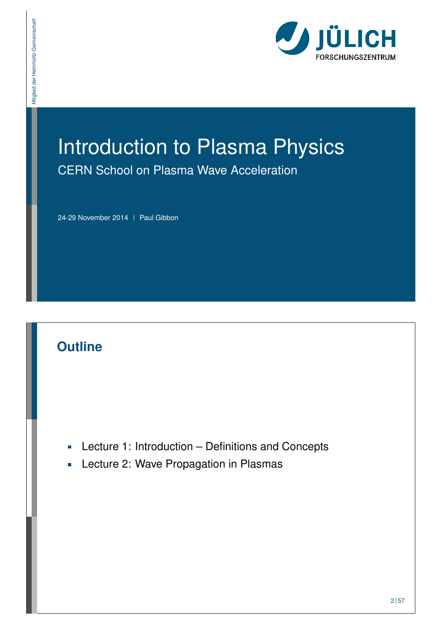

# Introduction to Plasma Physics CERN School on Plasma Wave Acceleration

24-29 November 2014 | Paul Gibbon

#### **Outline**

Mitglied der Helmholtz-Gemeinschaft

Mitglied der Helmholtz-Gemeinschaft

- Lecture 1: Introduction Definitions and Concepts  $\overline{\phantom{a}}$
- **Lecture 2: Wave Propagation in Plasmas**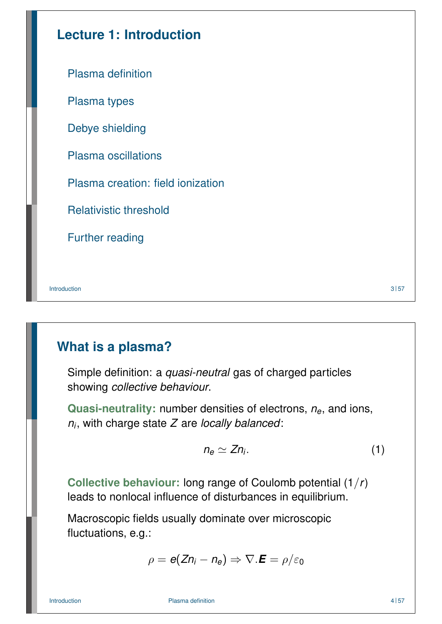| <b>Lecture 1: Introduction</b>    |      |
|-----------------------------------|------|
| Plasma definition                 |      |
| Plasma types                      |      |
| Debye shielding                   |      |
| <b>Plasma oscillations</b>        |      |
| Plasma creation: field ionization |      |
| <b>Relativistic threshold</b>     |      |
| <b>Further reading</b>            |      |
|                                   |      |
| Introduction                      | 3 57 |

## **What is a plasma?**

Simple definition: a *quasi-neutral* gas of charged particles showing *collective behaviour*.

**Quasi-neutrality:** number densities of electrons, *ne*, and ions, *ni* , with charge state *Z* are *locally balanced*:

$$
n_e \simeq Z n_i. \tag{1}
$$

**[C](#page-2-0)ollective behaviour:** long range of Coulomb potential (1/*r*) [lead](#page-3-0)s to nonlocal influence of disturbances in equilibrium.

[Macro](#page-7-0)scopic fields usually dominate over microscopic [fluctuations, e.](#page-9-0)g.:

 $\rho = \boldsymbol{e}(\boldsymbol{Z}\boldsymbol{\mathsf{n}}_i - \boldsymbol{\mathsf{n}}_{\boldsymbol{e}}) \Rightarrow \nabla.\boldsymbol{E} = \rho/\varepsilon_0$ 

Introduction and the Plasma definition and the plasma control of the Plasma definition and the Plasma definition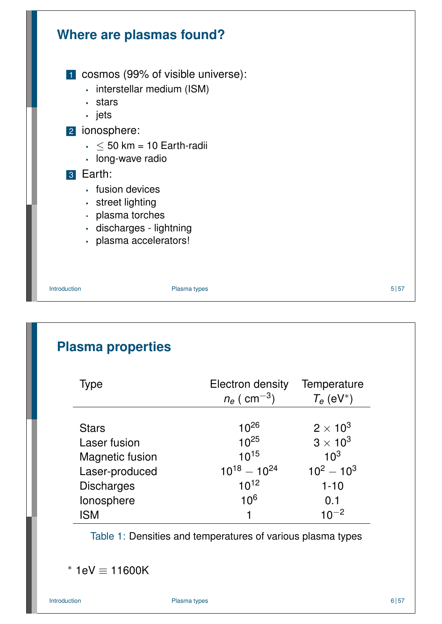

## **Plasma properties**

| Type                   | <b>Electron density</b><br>$n_e$ ( $\rm cm^{-3})$ | Temperature<br>$T_e$ (eV <sup>*</sup> ) |
|------------------------|---------------------------------------------------|-----------------------------------------|
|                        |                                                   |                                         |
| <b>Stars</b>           | $10^{26}$                                         | $2 \times 10^3$                         |
| Laser fusion           | $10^{25}$                                         | $3 \times 10^3$                         |
| <b>Magnetic fusion</b> | $10^{15}$                                         | 10 <sup>3</sup>                         |
| Laser-produced         | $10^{18} - 10^{24}$                               | $10^2 - 10^3$                           |
| <b>Discharges</b>      | $10^{12}$                                         | $1 - 10$                                |
| lonosphere             | 10 <sup>6</sup>                                   | 0.1                                     |
| ISM                    | 1                                                 | 10 <sup><math>-2</math></sup>           |

<span id="page-2-0"></span>Table 1: Densities and temperatures of various plasma types

∗ 1eV ≡ 11600K

Introduction **Plasma types Plasma types** 6 57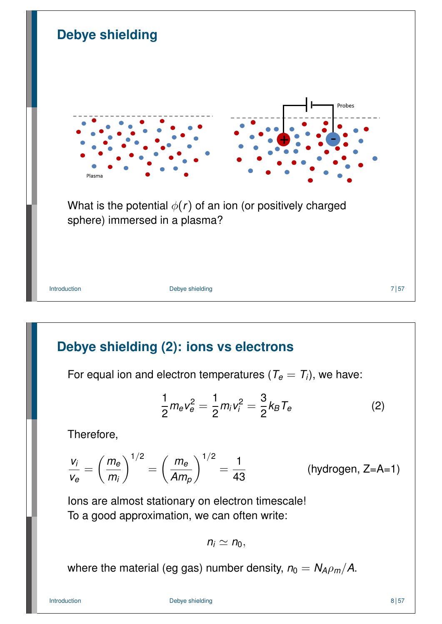

# **Debye shielding (2): ions vs electrons**

For equal ion and electron temperatures ( $T_e = T_i$ ), we have:

$$
\frac{1}{2}m_{e}v_{e}^{2} = \frac{1}{2}m_{i}v_{i}^{2} = \frac{3}{2}k_{B}T_{e}
$$
 (2)

Therefore,

$$
\frac{v_i}{v_e} = \left(\frac{m_e}{m_i}\right)^{1/2} = \left(\frac{m_e}{Am_p}\right)^{1/2} = \frac{1}{43}
$$
 (hydrogen, Z=A=1)

Ions are almost stationary on electron timescale! To a good approximation, we can often write:

<span id="page-3-0"></span>
$$
n_i \simeq n_0,
$$

where the material (eg gas) number density,  $n_0 = N_A \rho_m/A$ .

Introduction 8 | 57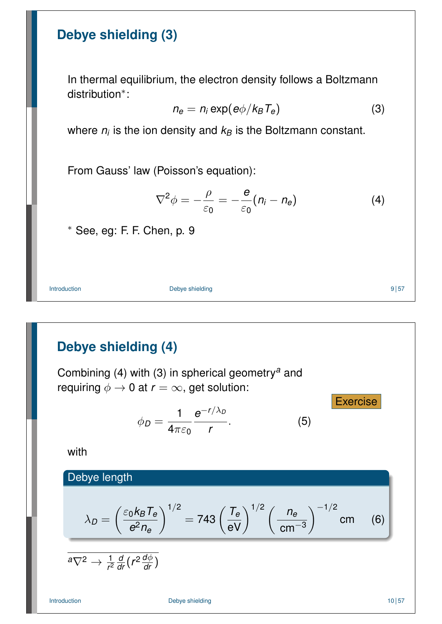#### **Debye shielding (3)**

In thermal equilibrium, the electron density follows a Boltzmann distribution<sup>∗</sup> :

> $n_e = n_i \exp(e\phi/k_B T_e)$ ) (3)

where  $n_i$  is the ion density and  $k_B$  is the Boltzmann constant.

From Gauss' law (Poisson's equation):

$$
\nabla^2 \phi = -\frac{\rho}{\varepsilon_0} = -\frac{\mathbf{e}}{\varepsilon_0} (n_i - n_e) \tag{4}
$$

∗ See, eg: F. F. Chen, p. 9

Introduction **Debye shielding Debye shielding 9** 157

# **Debye shielding (4)**

Combining (4) with (3) in spherical geometry*<sup>a</sup>* and requiring  $\phi \rightarrow 0$  at  $r = \infty$ , get solution:

$$
\phi_D = \frac{1}{4\pi\varepsilon_0} \frac{e^{-r/\lambda_D}}{r}.\tag{5}
$$

with

Debye length

$$
\lambda_D = \left(\frac{\varepsilon_0 k_B T_e}{e^2 n_e}\right)^{1/2} = 743 \left(\frac{T_e}{eV}\right)^{1/2} \left(\frac{n_e}{cm^{-3}}\right)^{-1/2} cm
$$

$$
\overline{a}\nabla^2\rightarrow \tfrac{1}{r^2}\tfrac{d}{dr}\big(r^2\tfrac{d\phi}{dr}\big)
$$

Introduction 10 | 57

 $(6)$ 

Exercise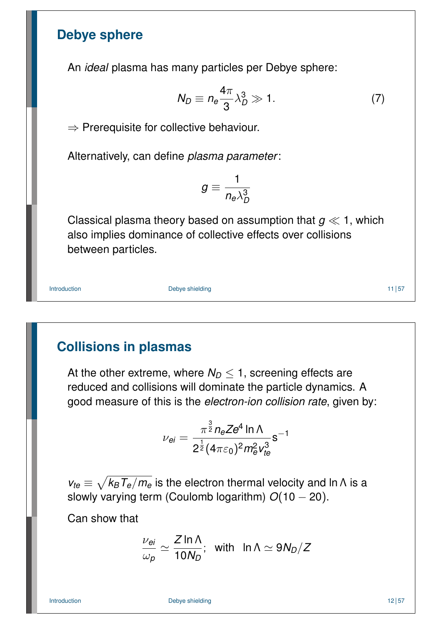#### **Debye sphere**

An *ideal* plasma has many particles per Debye sphere:

$$
N_D \equiv n_e \frac{4\pi}{3} \lambda_D^3 \gg 1. \tag{7}
$$

 $\Rightarrow$  Prerequisite for collective behaviour.

Alternatively, can define *plasma parameter*:

$$
g\equiv\frac{1}{n_e\lambda_D^3}
$$

Classical plasma theory based on assumption that  $g \ll 1$ , which also implies dominance of collective effects over collisions between particles.

Introduction 11 | 57

# **Collisions in plasmas**

At the other extreme, where  $N_D \leq 1$ , screening effects are reduced and collisions will dominate the particle dynamics. A good measure of this is the *electron-ion collision rate*, given by:

$$
\nu_{ei}=\frac{\pi^{\frac{3}{2}}n_eZe^4\ln\Lambda}{2^{\frac{1}{2}}(4\pi\varepsilon_0)^2m_e^2v_{te}^3}s^{-1}
$$

 $v_{te} \equiv \sqrt{k_B T_e/m_e}$  is the electron thermal velocity and ln Λ is a slowly varying term (Coulomb logarithm) *O*(10 − 20).

Can show that

$$
\frac{\nu_{ei}}{\omega_p} \simeq \frac{Z \ln \Lambda}{10 N_D}; \quad \text{with} \quad \ln \Lambda \simeq 9 N_D/Z
$$

Introduction 12 | 57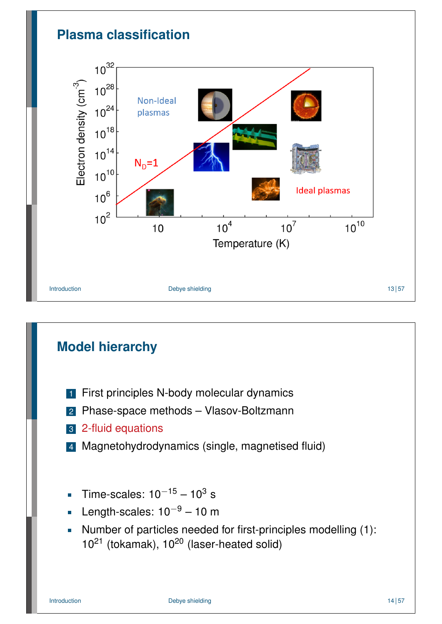

# **Model hierarchy**

- **1** First principles N-body molecular dynamics
- 2 Phase-space methods Vlasov-Boltzmann
- 3 2-fluid equations
- 4 Magnetohydrodynamics (single, magnetised fluid)
- Time-scales:  $10^{-15} 10^3$  s  $\overline{\phantom{a}}$
- Length-scales:  $10^{-9}$  10 m  $\overline{\phantom{a}}$
- Number of particles needed for first-principles modelling (1):  $\overline{\phantom{a}}$  $10^{21}$  (tokamak),  $10^{20}$  (laser-heated solid)

Introduction **Debye shielding Debye shielding 14** 57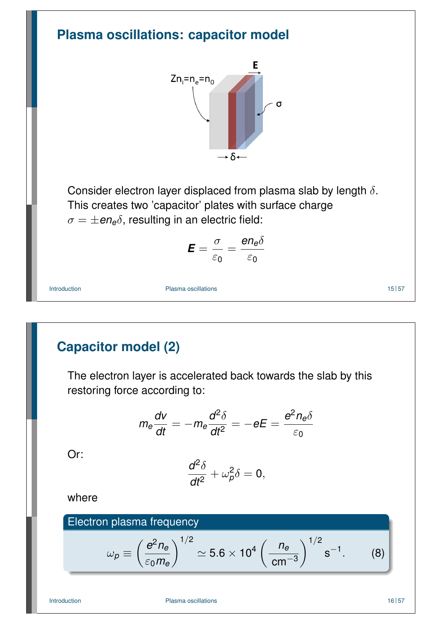

where

#### Electron plasma frequency

<span id="page-7-1"></span><span id="page-7-0"></span>
$$
\omega_p \equiv \left(\frac{e^2 n_e}{\varepsilon_0 m_e}\right)^{1/2} \simeq 5.6 \times 10^4 \left(\frac{n_e}{\text{cm}^{-3}}\right)^{1/2} \text{s}^{-1}.\tag{8}
$$

Introduction **Plasma oscillations Provides Provides Provides Provides Provides Provides Provides Provides Provides Provides Provides Provides Provides Provides Provides Provides Provides**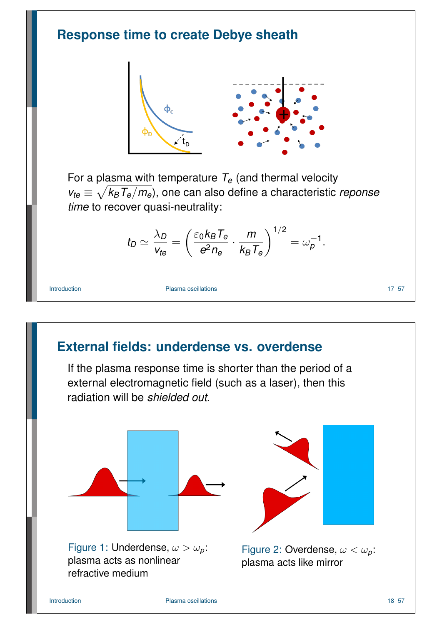

If the plasma response time is shorter than the period of a external electromagnetic field (such as a laser), then this radiation will be *shielded out*.

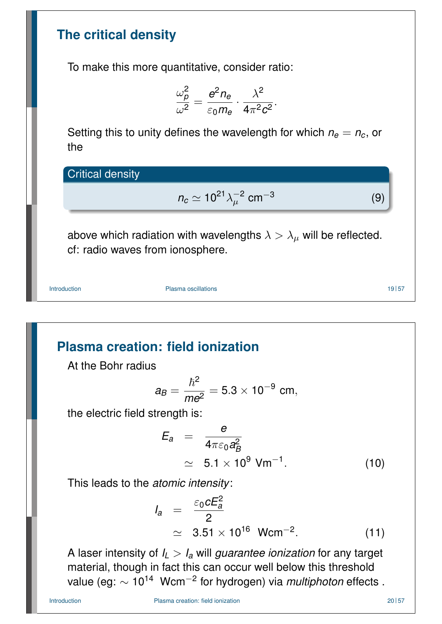#### **The critical density**

To make this more quantitative, consider ratio:

$$
\frac{\omega_{\boldsymbol{\rho}}^2}{\omega^2} = \frac{\boldsymbol{e}^2 n_{\boldsymbol{e}}}{\varepsilon_0 m_{\boldsymbol{e}}} \cdot \frac{\lambda^2}{4\pi^2 c^2}.
$$

Setting this to unity defines the wavelength for which  $n_e = n_c$ , or the

Critical density

$$
n_c \simeq 10^{21} \lambda_\mu^{-2} \text{ cm}^{-3} \tag{9}
$$

above which radiation with wavelengths  $\lambda > \lambda_{\mu}$  will be reflected. cf: radio waves from ionosphere.

Introduction **Plasma oscillations Provides Provides Provides Provides Provides Provides Provides Provides Provides Provides Provides Provides Provides Provides Provides Provides Provides**

**Plasma creation: field ionization**

At the Bohr radius

$$
a_B = \frac{\hbar^2}{me^2} = 5.3 \times 10^{-9} \text{ cm},
$$

the electric field strength is:

$$
E_a = \frac{e}{4\pi\varepsilon_0 a_B^2}
$$
  
\n
$$
\simeq 5.1 \times 10^9 \text{ Vm}^{-1}.
$$
 (10)

This leads to the *atomic intensity*:

<span id="page-9-0"></span>
$$
I_a = \frac{\varepsilon_0 c E_a^2}{2}
$$
  
  $\simeq 3.51 \times 10^{16} \text{ Wcm}^{-2}.$  (11)

A laser intensity of  $I_L > I_a$  will *guarantee ionization* for any target material, though in fact this can occur well below this threshold value (eg: ∼ 10<sup>14</sup> Wcm−<sup>2</sup> for hydrogen) via *multiphoton* effects .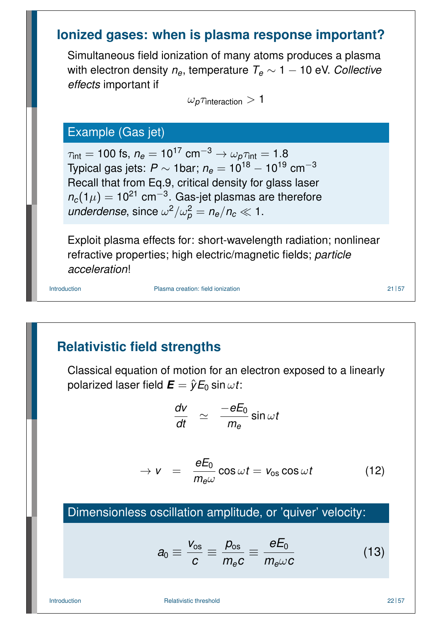#### **Ionized gases: when is plasma response important?**

Simultaneous field ionization of many atoms produces a plasma with electron density  $n_e$ , temperature  $T_e \sim 1 - 10$  eV. Collective *effects* important if

 $\omega_p \tau$ interaction  $>1$ 

#### Example (Gas jet)

 $\tau_{\text{int}} = 100 \text{ fs}, n_e = 10^{17} \text{ cm}^{-3} \rightarrow \omega_p \tau_{\text{int}} = 1.8$ Typical gas jets:  $P \sim 1$ bar;  $n_e = 10^{18} - 10^{19}$  cm<sup>-3</sup> Recall that from Eq.9, critical density for glass laser  $n_c(1\mu)=10^{21}$  cm<sup>−3</sup>. Gas-jet plasmas are therefore *underdense*, since  $\omega^2/\omega_p^2 = n_e/n_c \ll 1$ .

Exploit plasma effects for: short-wavelength radiation; nonlinear refractive properties; high electric/magnetic fields; *particle acceleration*!

Introduction **Plasma creation:** field ionization **Plasma creation**: field ionization **Plasma** 21 | 57

#### **Relativistic field strengths**

Classical equation of motion for an electron exposed to a linearly polarized laser field  $\boldsymbol{E} = \hat{\boldsymbol{\gamma}} E_0 \sin \omega t$ :

$$
\frac{d\mathsf{v}}{dt} \;\; \simeq \;\; \frac{-eE_0}{m_e} \sin \omega t
$$

$$
\rightarrow v = \frac{eE_0}{m_e \omega} \cos \omega t = v_{\text{os}} \cos \omega t \qquad (12)
$$

#### Dimensionless oscillation amplitude, or 'quiver' velocity:

<span id="page-10-0"></span>
$$
a_0 \equiv \frac{V_{\rm os}}{c} \equiv \frac{\rho_{\rm os}}{m_e c} \equiv \frac{eE_0}{m_e \omega c} \tag{13}
$$

Introduction **Relativistic threshold Relativistic threshold 22 157**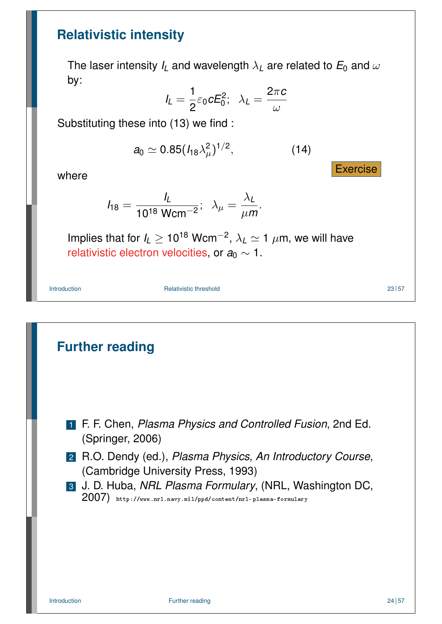#### **Relativistic intensity**

The laser intensity  $I_L$  and wavelength  $\lambda_L$  are related to  $E_0$  and  $\omega$ by:

$$
I_L = \frac{1}{2} \varepsilon_0 c E_0^2; \ \ \lambda_L = \frac{2\pi c}{\omega}
$$

Substituting these into (13) we find :

$$
a_0 \simeq 0.85 (I_{18} \lambda_\mu^2)^{1/2}, \qquad (14)
$$

where

$$
I_{18} = \frac{I_L}{10^{18} \text{ Wcm}^{-2}}; \ \ \lambda_{\mu} = \frac{\lambda_L}{\mu m}.
$$

Implies that for  $I_L \geq 10^{18}$  Wcm<sup>-2</sup>,  $\lambda_L \simeq 1$   $\mu$ m, we will have relativistic electron velocities, or *a*<sup>0</sup> ∼ 1.

Introduction 23 S7

# **Further reading** 1 F. F. Chen, *Plasma Physics and Controlled Fusion*, 2nd Ed. (Springer, 2006) 2 R.O. Dendy (ed.), *Plasma Physics, An Introductory Course*, (Cambridge University Press, 1993) 3 J. D. Huba, *NRL Plasma Formulary*, (NRL, Washington DC, 200[7\)](#page-10-0) http://www.nrl.navy.mil/ppd/content/nrl-plasma-formulary

**Exercise**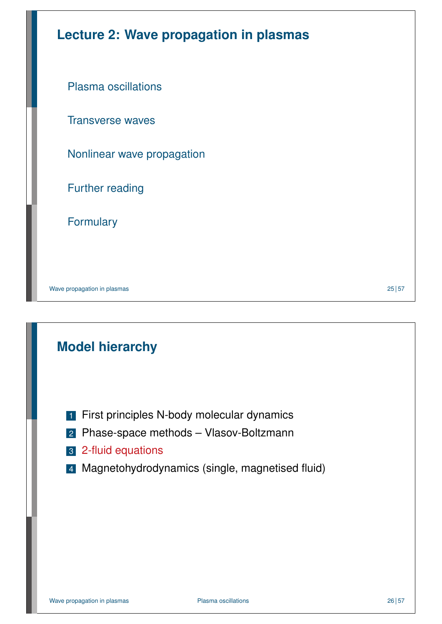| <b>Lecture 2: Wave propagation in plasmas</b> |
|-----------------------------------------------|
| <b>Plasma oscillations</b>                    |
| <b>Transverse waves</b>                       |
| Nonlinear wave propagation                    |
| <b>Further reading</b>                        |
| <b>Formulary</b>                              |
|                                               |
|                                               |

Wave propagation in plasmas 25 | 57

# **Model hierarchy**

- **1** First principles N-body molecular dynamics
- 2 [Phase-space methods –](#page-12-0) Vlasov-Boltzmann
- 3 2-fluid equations
- <span id="page-12-0"></span>4 [Ma](#page-12-0)gnetohydrodynamics (single, magnetised fluid)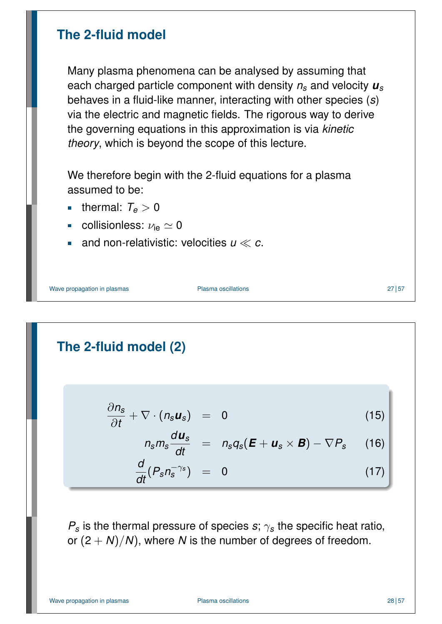#### **The 2-fluid model**

Many plasma phenomena can be analysed by assuming that each charged particle component with density *n<sup>s</sup>* and velocity *u<sup>s</sup>* behaves in a fluid-like manner, interacting with other species (*s*) via the electric and magnetic fields. The rigorous way to derive the governing equations in this approximation is via *kinetic theory*, which is beyond the scope of this lecture.

We therefore begin with the 2-fluid equations for a plasma assumed to be:

- thermal:  $T_e > 0$
- collisionless:  $\nu_{\text{ie}} \simeq 0$  $\overline{\phantom{a}}$
- and non-relativistic: velocities  $u \ll c$ .

Wave propagation in plasmas example and the Plasma oscillations of the contract of the 27 | 57  $\pm$  27 | 57

# **The 2-fluid model (2)**

$$
\frac{\partial n_s}{\partial t} + \nabla \cdot (n_s u_s) = 0 \qquad (15)
$$

$$
n_s m_s \frac{d\boldsymbol{u}_s}{dt} = n_s q_s (\boldsymbol{E} + \boldsymbol{u}_s \times \boldsymbol{B}) - \nabla P_s \qquad (16)
$$

<span id="page-13-0"></span>
$$
\frac{d}{dt}(P_s n_s^{-\gamma_s}) = 0 \qquad (17)
$$

 $P_s$  is the thermal pressure of species *s*;  $\gamma_s$  the specific heat ratio, or  $(2 + N)/N$ , where *N* is the number of degrees of freedom.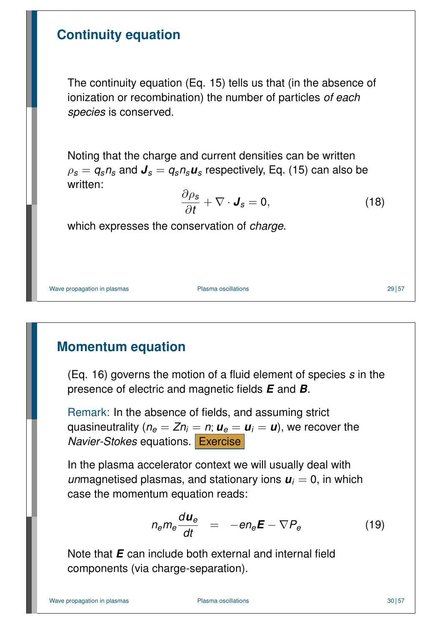#### **Continuity equation**

The continuity equation (Eq. 15) tells us that (in the absence of ionization or recombination) the number of particles *of each species* is conserved.

Noting that the charge and current densities can be written  $\rho_s = q_s n_s$  and  $J_s = q_s n_s u_s$  respectively, Eq. (15) can also be written:

$$
\frac{\partial \rho_s}{\partial t} + \nabla \cdot \mathbf{J}_s = 0, \qquad (18)
$$

which expresses the conservation of *charge*.

Wave propagation in plasmas example and the Plasma oscillations of the contract of the 29 57

# **Momentum equation**

(Eq. 16) governs the motion of a fluid element of species *s* in the presence of electric and magnetic fields *E* and *B*.

Remark: In the absence of fields, and assuming strict quasineutrality ( $n_e = Zn_i = n$ ;  $u_e = u_i = u$ ), we recover the *Navier-Stokes* equations. Exercise

In the plasma accelerator context we will usually deal with *un*magnetis[ed](#page-13-0) plasmas, and stationary ions  $u_i = 0$ , in which case the momentum equation reads:

$$
n_e m_e \frac{d\bm{u}_e}{dt} = -e n_e \bm{E} - \nabla P_e \qquad (19)
$$

Note that *E* can include both external and internal field components (via charge-separation).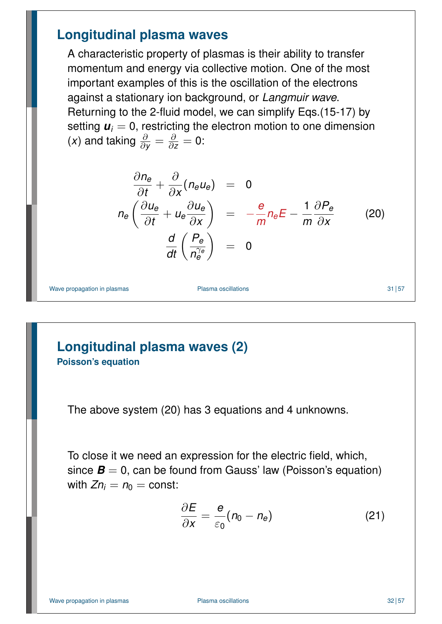#### **Longitudinal plasma waves**

A characteristic property of plasmas is their ability to transfer momentum and energy via collective motion. One of the most important examples of this is the oscillation of the electrons against a stationary ion background, or *Langmuir wave*. Returning to the 2-fluid model, we can simplify Eqs.(15-17) by setting  $\mathbf{u}_i = 0$ , restricting the electron motion to one dimension (*x*) and taking  $\frac{\partial}{\partial y} = \frac{\partial}{\partial z}$  $\frac{\partial}{\partial z} = 0$ :

$$
\frac{\partial n_e}{\partial t} + \frac{\partial}{\partial x} (n_e u_e) = 0
$$
\n
$$
n_e \left( \frac{\partial u_e}{\partial t} + u_e \frac{\partial u_e}{\partial x} \right) = -\frac{e}{m} n_e E - \frac{1}{m} \frac{\partial P_e}{\partial x}
$$
\n
$$
\frac{d}{dt} \left( \frac{P_e}{n_e^{\gamma_e}} \right) = 0
$$
\n(20)

Wave propagation in plasmas **Plasma oscillations** 31 57

#### **Longitudinal plasma waves (2) Poisson's equation**

The above system (20) has 3 equations and 4 unknowns.

To close it we need an expression for the electric field, which, since  $\boldsymbol{B} = 0$ , can be found from Gauss' law (Poisson's equation) with  $Zn_i = n_0 = \text{const.}$  $Zn_i = n_0 = \text{const.}$ 

<span id="page-15-0"></span>
$$
\frac{\partial E}{\partial x} = \frac{e}{\varepsilon_0} (n_0 - n_e) \tag{21}
$$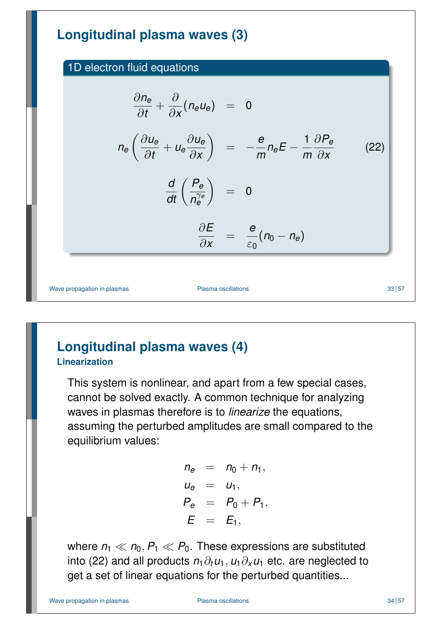# **Longitudinal plasma waves (3)**

1D electron fluid equations

$$
\frac{\partial n_e}{\partial t} + \frac{\partial}{\partial x} (n_e u_e) = 0
$$
\n
$$
n_e \left( \frac{\partial u_e}{\partial t} + u_e \frac{\partial u_e}{\partial x} \right) = -\frac{e}{m} n_e E - \frac{1}{m} \frac{\partial P_e}{\partial x}
$$
\n
$$
\frac{d}{dt} \left( \frac{P_e}{n_e^{\gamma_e}} \right) = 0
$$
\n
$$
\frac{\partial E}{\partial x} = \frac{e}{\varepsilon_0} (n_0 - n_e)
$$
\nWave propagation in plasma oscillations

#### **Longitudinal plasma waves (4) Linearization**

This system is nonlinear, and apart from a few special cases, cannot be solved exactly. A common technique for analyzing waves in plasmas therefore is to *linearize* the equations, assuming the perturbed amplitudes are small compared to the equilibrium values:

> $n_e$  =  $n_0 + n_1$ ,  $u_e = u_1$ ,  $P_e = P_0 + P_1$  $E = E_1$ ,

where  $n_1 \ll n_0$ ,  $P_1 \ll P_0$ . These expressions are substituted into (22) and all products  $n_1\partial_t u_1$ ,  $u_1\partial_x u_1$  etc. are neglected to get a set of linear equations for the perturbed quantities...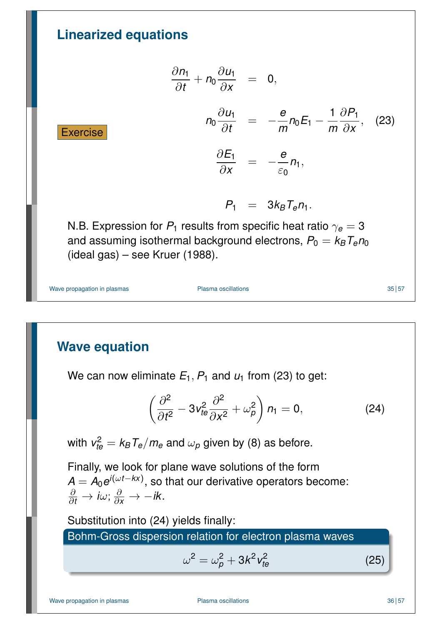**Linearized equations**  
\n
$$
\frac{\partial n_1}{\partial t} + n_0 \frac{\partial u_1}{\partial x} = 0,
$$
\n
$$
n_0 \frac{\partial u_1}{\partial t} = -\frac{e}{m} n_0 E_1 - \frac{1}{m} \frac{\partial P_1}{\partial x}, \quad (23)
$$
\n**Exercise**  
\n
$$
\frac{\partial E_1}{\partial x} = -\frac{e}{\varepsilon_0} n_1,
$$
\n
$$
P_1 = 3k_B T_e n_1.
$$
\nN.B. Expression for  $P_1$  results from specific heat ratio  $\gamma_e = 3$  and assuming isothermal background electrons,  $P_0 = k_B T_e n_0$  (ideal gas) – see Kruer (1988).  
\nWave propagation in plasma  
\nPlasma oscillations

## **Wave equation**

We can now eliminate  $E_1$ ,  $P_1$  and  $u_1$  from (23) to get:

$$
\left(\frac{\partial^2}{\partial t^2} - 3v_{te}^2 \frac{\partial^2}{\partial x^2} + \omega_\rho^2\right) n_1 = 0, \qquad (24)
$$

with  $\textit{v}_{te}^2 = \textit{k}_B\textit{T}_e/\textit{m}_e$  and  $\omega_\rho$  given by (8) as before.

Finally, we look for pl[ane](#page-17-0) wave solutions of the form *A* = *A*0*e i*(ω*t*−*kx*) , so that our derivative operators become:  $\frac{\partial}{\partial t} \rightarrow i\omega$ ;  $\frac{\partial}{\partial x} \rightarrow -i k$ .

Substitution into (24) yields finally:

Bohm-Gross dispersion relation for electron plasma waves

<span id="page-17-0"></span>
$$
\omega^2 = \omega_p^2 + 3k^2 v_{te}^2
$$

Wave propagation in plasmas **Plasma oscillations** 36 57

*te* (25)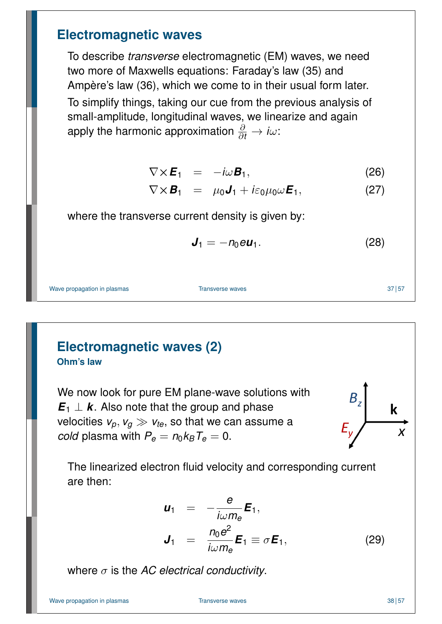#### **Electromagnetic waves**

To describe *transverse* electromagnetic (EM) waves, we need two more of Maxwells equations: Faraday's law (35) and Ampère's law (36), which we come to in their usual form later. To simplify things, taking our cue from the previous analysis of small-amplitude, longitudinal waves, we linearize and again apply the harmonic approximation  $\frac{\partial}{\partial t} \rightarrow i \omega$ :

$$
\nabla \times \boldsymbol{E}_1 = -i\omega \boldsymbol{B}_1, \qquad (26)
$$

$$
\nabla \times \boldsymbol{B}_1 = \mu_0 \boldsymbol{J}_1 + i \varepsilon_0 \mu_0 \omega \boldsymbol{E}_1, \qquad (27)
$$

where the transverse current density is given by:

$$
\mathbf{J}_1 = -n_0 e \mathbf{u}_1. \tag{28}
$$

Wave propagation in plasmas Transverse waves **Transverse waves** 37 | 57

#### **Electromagnetic waves (2) Ohm's law**

We now look for pure EM plane-wave solutions with  $E_1 \perp k$ . Also note that the group and phase velocities  $v_p, v_q \gg v_{te}$ , so that we can assume a *cold* plasma with  $P_e = n_0 k_B T_e = 0$ .



The linearized electron fl[uid](#page-22-0) velocity and corresponding current ar[e t](#page-22-1)hen:

<span id="page-18-1"></span><span id="page-18-0"></span>
$$
\mathbf{u}_1 = -\frac{e}{i\omega m_e} \mathbf{E}_1,
$$
  

$$
\mathbf{J}_1 = \frac{n_0 e^2}{i\omega m_e} \mathbf{E}_1 \equiv \sigma \mathbf{E}_1,
$$
 (29)

where σ is the *AC electrical conductivity*.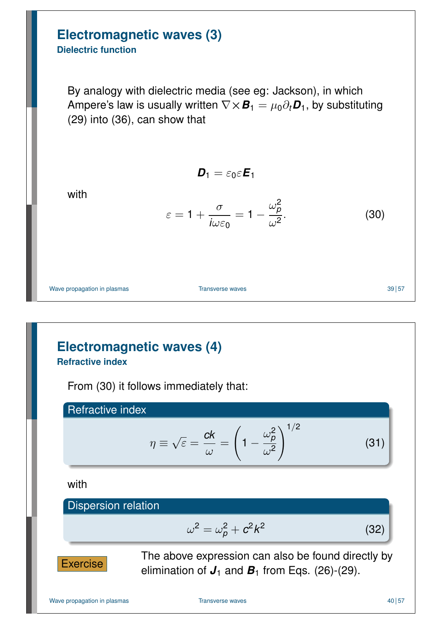# **Electromagnetic waves (3)**

#### **Dielectric function**

By analogy with dielectric media (see eg: Jackson), in which Ampere's law is usually written  $\nabla \times \mathbf{B}_1 = \mu_0 \partial_t \mathbf{D}_1$ , by substituting (29) into (36), can show that

$$
\textbf{D}_1=\varepsilon_0\varepsilon\textbf{E}_1
$$

with

$$
\varepsilon = 1 + \frac{\sigma}{i\omega\varepsilon_0} = 1 - \frac{\omega_\rho^2}{\omega^2}.
$$
 (30)

Wave propagation in plasmas **Transverse waves** 39 | 57

# **Electromagnetic waves (4)**

**Refractive index**

From (30) it follows immediately that:

Refractive index

$$
\eta \equiv \sqrt{\varepsilon} = \frac{ck}{\omega} = \left(1 - \frac{\omega_p^2}{\omega^2}\right)^{1/2} \tag{31}
$$

with

#### [D](#page-22-1)ispersion relation

$$
\omega^2 = \omega_\rho^2 + c^2 k^2
$$



The above expression can also be found directly by elimination of  $J_1$  and  $B_1$  from Eqs. (26)-(29).

(32)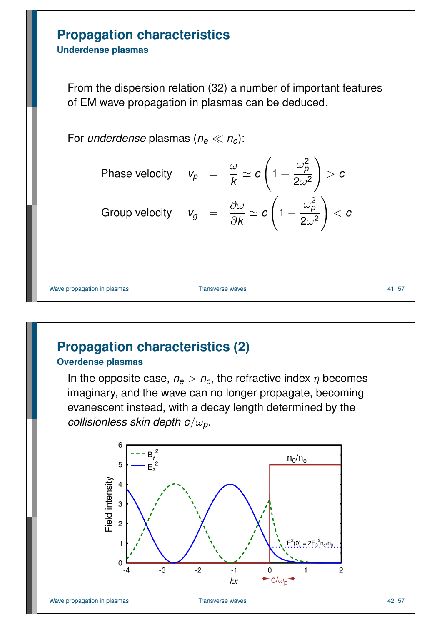# **Propagation characteristics**

**Underdense plasmas**

From the dispersion relation (32) a number of important features of EM wave propagation in plasmas can be deduced.

For *underdense* plasmas  $(n_e \ll n_c)$ :

Phase velocity 
$$
v_p = \frac{\omega}{k} \approx c \left(1 + \frac{\omega_p^2}{2\omega^2}\right) > c
$$
  
Group velocity  $v_g = \frac{\partial \omega}{\partial k} \approx c \left(1 - \frac{\omega_p^2}{2\omega^2}\right) < c$ 

Wave propagation in plasmas and the contract of the Transverse waves the contract of the 41 step 41 step 41 step 41 step 41 step 41 step 41 step 41 step 41 step 41 step 41 step 41 step 41 step 41 step 42 step 41 step 42 st

# **Propagation characteristics (2)**

#### **Overdense plasmas**

In the opposite case,  $n_e > n_c$ , the refractive index  $\eta$  becomes imaginary, and the wave can no longer propagate, becoming evanescent instead, with a decay length determined by the *collisionless skin depth c*/ω*p*.

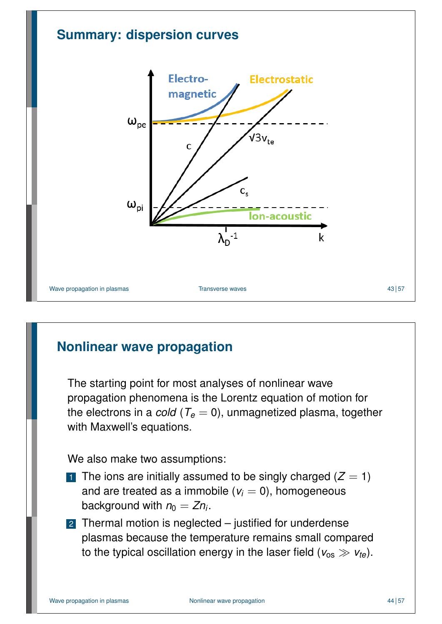

## **Nonlinear wave propagation**

The starting point for most analyses of nonlinear wave propagation phenomena is the Lorentz equation of motion for the electrons in a *cold* ( $T_e = 0$ ), unmagnetized plasma, together with Maxwell's equations.

We also make two assumptions:

- 1 The ions are initially assumed to be singly charged  $(Z = 1)$ and are treated as a immobile  $(v_i = 0)$ , homogeneous background with  $n_0 = Zn_i$ .
- 2 Thermal motion is neglected justified for underdense plasmas because the temperature remains small compared to the typical oscillation energy in the laser field ( $v_{\text{os}} \gg v_{\text{te}}$ ).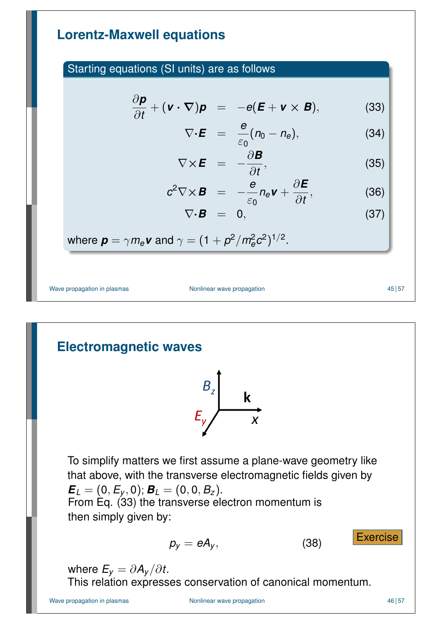#### **Lorentz-Maxwell equations**

#### Starting equations (SI units) are as follows

$$
\frac{\partial \mathbf{p}}{\partial t} + (\mathbf{v} \cdot \nabla) \mathbf{p} = -e(\mathbf{E} + \mathbf{v} \times \mathbf{B}), \tag{33}
$$

$$
\nabla \cdot \boldsymbol{E} = \frac{e}{\varepsilon_0} (n_0 - n_e), \qquad (34)
$$

$$
\nabla \times \boldsymbol{E} = -\frac{\partial \boldsymbol{B}}{\partial t}, \qquad (35)
$$

$$
c^2 \nabla \times \boldsymbol{B} = -\frac{\boldsymbol{e}}{\varepsilon_0} n_{\boldsymbol{e}} \boldsymbol{v} + \frac{\partial \boldsymbol{E}}{\partial t}, \qquad (36)
$$

$$
\nabla \cdot \bm{B} = 0, \qquad (37)
$$

where 
$$
\mathbf{p} = \gamma m_e \mathbf{v}
$$
 and  $\gamma = (1 + p^2/m_e^2 c^2)^{1/2}$ .

Wave propagation in plasmas Nonlinear wave propagation

$$
45\,|\,57
$$

## **Electromagnetic waves**



To simplify matters we first assume a plane-wave geometry like that above, with the transverse electromagnetic fields given by  $\bm{E}_L = (0, E_y, 0); \bm{B}_L = (0, 0, B_z).$ From Eq. (33) the transverse electron momentum is then simply given by:

<span id="page-22-3"></span><span id="page-22-2"></span><span id="page-22-1"></span><span id="page-22-0"></span>
$$
p_{y} = eA_{y}, \qquad (38) \qquad \qquad \boxed{\text{Exercise}}
$$

where  $E_y = \partial A_y / \partial t$ .

This relation expresses conservation of canonical momentum.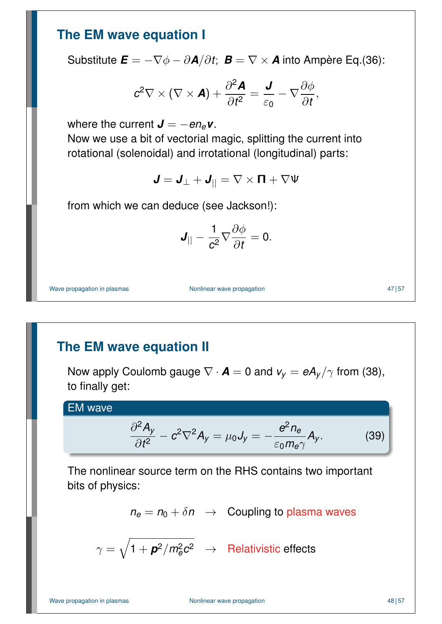#### **The EM wave equation I**

Substitute  $\boldsymbol{E} = -\nabla \phi - \partial \boldsymbol{A}/\partial t$ ;  $\boldsymbol{B} = \nabla \times \boldsymbol{A}$  into Ampère Eq.(36):

$$
c^2 \nabla \times (\nabla \times \mathbf{A}) + \frac{\partial^2 \mathbf{A}}{\partial t^2} = \frac{\mathbf{J}}{\varepsilon_0} - \nabla \frac{\partial \phi}{\partial t},
$$

where the current  $J = -en_e v$ .

Now we use a bit of vectorial magic, splitting the current into rotational (solenoidal) and irrotational (longitudinal) parts:

 $J = J_{\perp} + J_{||} = \nabla \times \mathbf{\Pi} + \nabla \Psi$ 

from which we can deduce (see Jackson!):

$$
\boldsymbol{J}_{||}-\frac{1}{c^2}\nabla\frac{\partial\phi}{\partial t}=0.
$$

Wave propagation in plasmas Nonlinear wave propagation and the state of the 47 57 47 57

#### **The EM wave equation II**

Now apply Coulomb gauge  $\nabla \cdot \mathbf{A} = 0$  and  $v_y = eA_y/\gamma$  from (38), to finally get:

#### EM wave

$$
\frac{\partial^2 A_y}{\partial t^2} - c^2 \nabla^2 A_y = \mu_0 J_y = -\frac{e^2 n_e}{\varepsilon_0 m_e \gamma} A_y.
$$
 (39)

The nonlinear source term on the RHS contains two important bits of physics:

$$
n_e = n_0 + \delta n \rightarrow
$$
 Coupling to plasma waves

 $\gamma = \sqrt{1 + \boldsymbol{p}^2/m_e^2c^2} \;\;\rightarrow \;\;$  Relativistic effects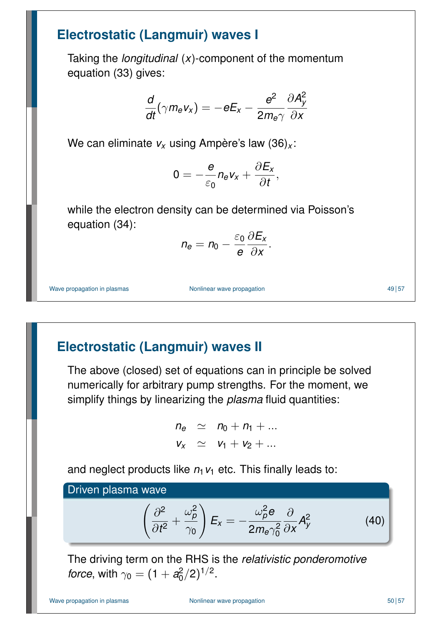#### **Electrostatic (Langmuir) waves I**

Taking the *longitudinal* (*x*)-component of the momentum equation (33) gives:

$$
\frac{d}{dt}(\gamma m_e v_x) = -eE_x - \frac{e^2}{2m_e\gamma} \frac{\partial A_y^2}{\partial x}
$$

We can eliminate *v<sup>x</sup>* using Ampère's law (36)*<sup>x</sup>* :

$$
0=-\frac{e}{\varepsilon_0}n_e v_x+\frac{\partial E_x}{\partial t},
$$

while the electron density can be determined via Poisson's equation (34):

$$
n_e=n_0-\frac{\varepsilon_0}{e}\frac{\partial E_x}{\partial x}.
$$

Wave propagation in plasmas Nonlinear wave propagation and the state of the 49 57

## **Electrostatic (Langmuir) waves II**

The above (closed) set of equations can in principle be solved numerically for arbitrary pump strengths. For the moment, we simplify things by linearizing the *plasma* fluid quantities:

$$
n_e \simeq n_0 + n_1 + \dots
$$
  

$$
v_x \simeq v_1 + v_2 + \dots
$$

[a](#page-22-2)nd neglect products like  $n_1v_1$  etc. This finally leads to:

Driven plasma wave

$$
\left(\frac{\partial^2}{\partial t^2} + \frac{\omega_\rho^2}{\gamma_0}\right) E_x = -\frac{\omega_\rho^2 e}{2m_e \gamma_0^2} \frac{\partial}{\partial x} A_y^2 \tag{40}
$$

The driving term on the RHS is the *relativistic ponderomotive [fo](#page-22-3)rce*, with  $\gamma_0 = (1 + a_0^2)$  $(2)^{1/2}$ .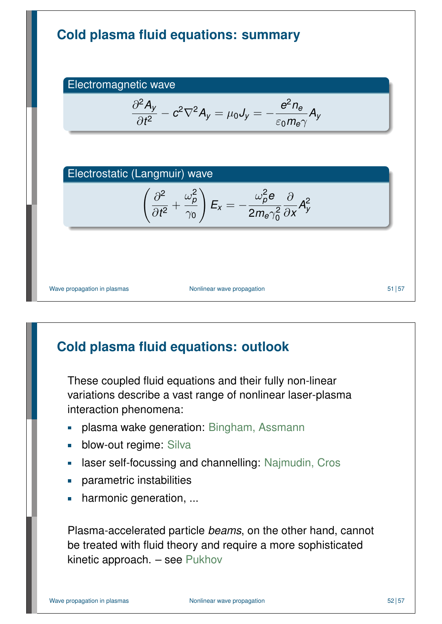

# **Cold plasma fluid equations: outlook**

These coupled fluid equations and their fully non-linear variations describe a vast range of nonlinear laser-plasma interaction phenomena:

- plasma wake generation: Bingham, Assmann  $\overline{\phantom{a}}$
- blow-out regime: Silva Ē.
- laser self-focussing and channelling: Najmudin, Cros  $\overline{\phantom{a}}$
- parametric instabilities  $\Box$
- harmonic generation, ...  $\overline{\phantom{a}}$

Plasma-accelerated particle *beams*, on the other hand, cannot be treated with fluid theory and require a more sophisticated kinetic approach. – see Pukhov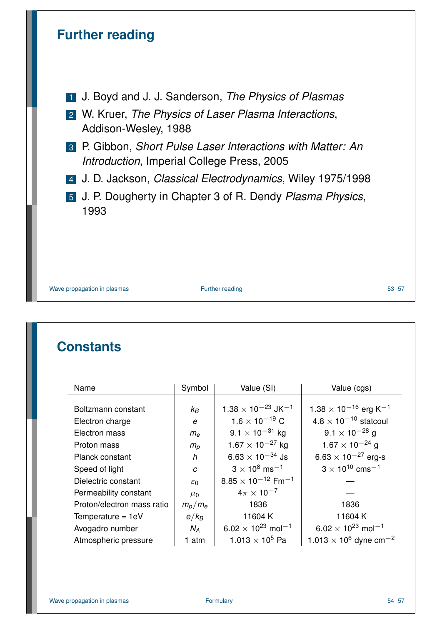

Wave propagation in plasmas Further reading 53 57

#### **Constants**

| Name                       | Symbol          | Value (SI)                              | Value (cgs)                                          |
|----------------------------|-----------------|-----------------------------------------|------------------------------------------------------|
|                            |                 |                                         |                                                      |
| Boltzmann constant         | $k_B$           | $1.38 \times 10^{-23}$ JK <sup>-1</sup> | $1.38 \times 10^{-16}$ erg K <sup>-1</sup>           |
| Electron charge            | e               | $1.6 \times 10^{-19}$ C                 | $4.8 \times 10^{-10}$ statcoul                       |
| Electron mass              | $m_{\rm e}$     | $9.1 \times 10^{-31}$ kg                | $9.1 \times 10^{-28}$ g                              |
| Proton mass                | $m_p$           | $1.67 \times 10^{-27}$ kg               | $1.67 \times 10^{-24}$ g                             |
| Planck constant            | h               | $6.63 \times 10^{-34}$ Js               | 6.63 $\times$ 10 <sup>-27</sup> erg-s                |
| Speed of light             | C               | $3 \times 10^8 \text{ ms}^{-1}$         | $3 \times 10^{10}$ cms <sup>-1</sup>                 |
| Dielectric constant        | $\varepsilon_0$ | $8.85 \times 10^{-12}$ Fm <sup>-1</sup> |                                                      |
| Permeability constant      | $\mu_0$         | $4\pi \times 10^{-7}$                   |                                                      |
| Proton/electron mass ratio | $m_p/m_e$       | 1836                                    | 1836                                                 |
| Temperature = $1eV$        | $e/k_B$         | 11604K                                  | 11604K                                               |
| Avogadro number            | $N_A$           | $6.02 \times 10^{23}$ mol <sup>-1</sup> | $6.02 \times 10^{23}$ mol <sup>-1</sup>              |
| Atmospheric pressure       | 1 atm           | 1.013 $\times$ 10 <sup>5</sup> Pa       | 1.013 $\times$ 10 <sup>6</sup> dyne cm <sup>-2</sup> |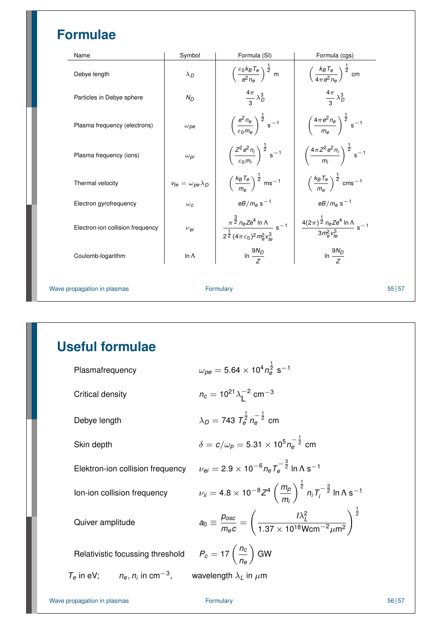# **Formulae**

| Name                             | Symbol                           | Formula (SI)                                                                                                    | Formula (cgs)                                                            |
|----------------------------------|----------------------------------|-----------------------------------------------------------------------------------------------------------------|--------------------------------------------------------------------------|
| Debye length                     | $\lambda_D$                      | $\left(\frac{\varepsilon_0 k_B T_e}{e^2 n_e}\right)^{\frac{1}{2}}$ m                                            | $\left(\frac{k_B T_e}{4\pi e^2 n_e}\right)^{\frac{1}{2}}$ cm             |
| Particles in Debye sphere        | $N_D$                            | $\frac{4\pi}{3}\lambda_D^3$                                                                                     | $\frac{4\pi}{2}\lambda_D^3$                                              |
| Plasma frequency (electrons)     | $\omega_{\textit{pe}}$           | $\left(\frac{e^2 n_e}{\varepsilon_0 m_e}\right)^{\frac{1}{2}}$ s <sup>-1</sup>                                  | $\left(\frac{4\pi e^2 n_e}{m_e}\right)^{\frac{1}{2}} s^{-1}$             |
| Plasma frequency (ions)          | $\omega_{\textit{Di}}$           | $\left(\frac{Z^2e^2n_i}{\epsilon_0m_i}\right)^{\frac{1}{2}}s^{-1}$                                              | $\left(\frac{4\pi Z^2e^2n_i}{m}\right)^{\frac{1}{2}}s^{-1}$              |
| Thermal velocity                 | $v_{te} = \omega_{pe} \lambda_D$ | $\left(\frac{k_B T_e}{m}\right)^{\frac{1}{2}}$ ms <sup>-1</sup>                                                 | $\left(\frac{k_B T_e}{m_e}\right)^{\frac{1}{2}}$ cms <sup>-1</sup>       |
| Electron gyrofrequency           | $\omega_c$                       | $eB/m_e$ s <sup>-1</sup>                                                                                        | $eB/m_e$ s <sup>-1</sup>                                                 |
| Electron-ion collision frequency | $\nu_{ei}$                       | $\frac{\pi^{\frac{3}{2}} n_e Z e^4 \ln \Lambda}{2^{\frac{1}{2}} (4 \pi \varepsilon_0)^2 m_e^2 v_{te}^3} s^{-1}$ | $\frac{4(2\pi)^{\frac{1}{2}}n_eZe^4\ln\Lambda}{3m_e^2v_{\phi}^3} s^{-1}$ |
| Coulomb-logarithm                | In $\Lambda$                     | In $\frac{9N_D}{2}$                                                                                             | In $\frac{9N_D}{Z}$                                                      |
| Wave propagation in plasmas      |                                  | Formulary                                                                                                       |                                                                          |

# **Useful formulae**

| Plasmafrequency                                  | $\omega_{pe} = 5.64 \times 10^4 n_{\rm B}^{\frac{1}{2}} \text{ s}^{-1}$                                                                 |
|--------------------------------------------------|-----------------------------------------------------------------------------------------------------------------------------------------|
| Critical density                                 | $n_c = 10^{21} \lambda_1^{-2}$ cm <sup>-3</sup>                                                                                         |
| Debye length                                     | $\lambda_D = 743 \; T_a^{\frac{1}{2}} n_a^{-\frac{1}{2}}$ cm                                                                            |
| Skin depth                                       | $\delta = c/\omega_0 = 5.31 \times 10^5 n_e^{-\frac{1}{2}}$ cm                                                                          |
| Elektron-ion collision frequency                 | $\nu_{\rm ej} = 2.9 \times 10^{-6} n_{\rm e} T_{\rm e}^{-\frac{3}{2}}$ In $\Lambda$ s <sup>-1</sup>                                     |
| lon-ion collision frequency                      | $\nu_{ii} = 4.8 \times 10^{-8} Z^4 \left( \frac{m_p}{m_i} \right)^{\frac{1}{2}} n_i T_i^{-\frac{3}{2}} \ln \Lambda s^{-1}$              |
| Quiver amplitude                                 | $a_0 \equiv \frac{p_{osc}}{m_e c} = \left(\frac{l\lambda_L^2}{1.37 \times 10^{18} \text{Wcm}^{-2} \mu \text{m}^2}\right)^{\frac{1}{2}}$ |
| Relativistic focussing threshold                 | $P_c = 17 \left( \frac{n_c}{n} \right)$ GW                                                                                              |
| $T_e$ in eV; $n_e$ , $n_i$ in cm <sup>-3</sup> , | wavelength $\lambda_L$ in $\mu$ m                                                                                                       |